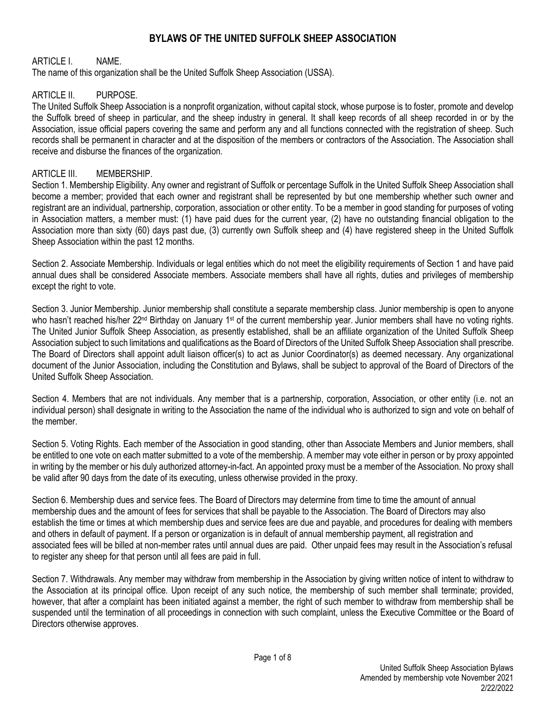# **BYLAWS OF THE UNITED SUFFOLK SHEEP ASSOCIATION**

### ARTICLE I. NAME.

The name of this organization shall be the United Suffolk Sheep Association (USSA).

#### ARTICLE II. PURPOSE

The United Suffolk Sheep Association is a nonprofit organization, without capital stock, whose purpose is to foster, promote and develop the Suffolk breed of sheep in particular, and the sheep industry in general. It shall keep records of all sheep recorded in or by the Association, issue official papers covering the same and perform any and all functions connected with the registration of sheep. Such records shall be permanent in character and at the disposition of the members or contractors of the Association. The Association shall receive and disburse the finances of the organization.

#### ARTICLE III. MEMBERSHIP.

Section 1. Membership Eligibility. Any owner and registrant of Suffolk or percentage Suffolk in the United Suffolk Sheep Association shall become a member; provided that each owner and registrant shall be represented by but one membership whether such owner and registrant are an individual, partnership, corporation, association or other entity. To be a member in good standing for purposes of voting in Association matters, a member must: (1) have paid dues for the current year, (2) have no outstanding financial obligation to the Association more than sixty (60) days past due, (3) currently own Suffolk sheep and (4) have registered sheep in the United Suffolk Sheep Association within the past 12 months.

Section 2. Associate Membership. Individuals or legal entities which do not meet the eligibility requirements of Section 1 and have paid annual dues shall be considered Associate members. Associate members shall have all rights, duties and privileges of membership except the right to vote.

Section 3. Junior Membership. Junior membership shall constitute a separate membership class. Junior membership is open to anyone who hasn't reached his/her 22<sup>nd</sup> Birthday on January 1<sup>st</sup> of the current membership year. Junior members shall have no voting rights. The United Junior Suffolk Sheep Association, as presently established, shall be an affiliate organization of the United Suffolk Sheep Association subject to such limitations and qualifications as the Board of Directors of the United Suffolk Sheep Association shall prescribe. The Board of Directors shall appoint adult liaison officer(s) to act as Junior Coordinator(s) as deemed necessary. Any organizational document of the Junior Association, including the Constitution and Bylaws, shall be subject to approval of the Board of Directors of the United Suffolk Sheep Association.

Section 4. Members that are not individuals. Any member that is a partnership, corporation, Association, or other entity (i.e. not an individual person) shall designate in writing to the Association the name of the individual who is authorized to sign and vote on behalf of the member.

Section 5. Voting Rights. Each member of the Association in good standing, other than Associate Members and Junior members, shall be entitled to one vote on each matter submitted to a vote of the membership. A member may vote either in person or by proxy appointed in writing by the member or his duly authorized attorney-in-fact. An appointed proxy must be a member of the Association. No proxy shall be valid after 90 days from the date of its executing, unless otherwise provided in the proxy.

Section 6. Membership dues and service fees. The Board of Directors may determine from time to time the amount of annual membership dues and the amount of fees for services that shall be payable to the Association. The Board of Directors may also establish the time or times at which membership dues and service fees are due and payable, and procedures for dealing with members and others in default of payment. If a person or organization is in default of annual membership payment, all registration and associated fees will be billed at non-member rates until annual dues are paid. Other unpaid fees may result in the Association's refusal to register any sheep for that person until all fees are paid in full.

Section 7. Withdrawals. Any member may withdraw from membership in the Association by giving written notice of intent to withdraw to the Association at its principal office. Upon receipt of any such notice, the membership of such member shall terminate; provided, however, that after a complaint has been initiated against a member, the right of such member to withdraw from membership shall be suspended until the termination of all proceedings in connection with such complaint, unless the Executive Committee or the Board of Directors otherwise approves.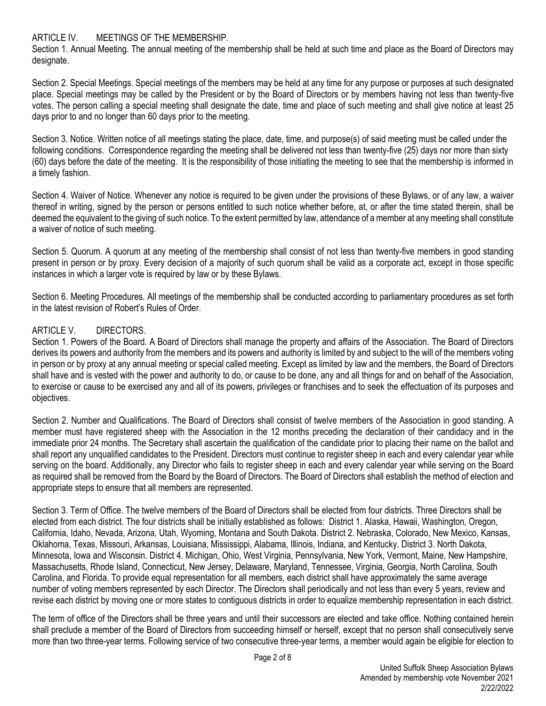### ARTICLE IV. MEETINGS OF THE MEMBERSHIP.

Section 1. Annual Meeting. The annual meeting of the membership shall be held at such time and place as the Board of Directors may designate.

Section 2. Special Meetings. Special meetings of the members may be held at any time for any purpose or purposes at such designated place. Special meetings may be called by the President or by the Board of Directors or by members having not less than twenty-five votes. The person calling a special meeting shall designate the date, time and place of such meeting and shall give notice at least 25 days prior to and no longer than 60 days prior to the meeting.

Section 3. Notice. Written notice of all meetings stating the place, date, time, and purpose(s) of said meeting must be called under the following conditions. Correspondence regarding the meeting shall be delivered not less than twenty-five (25) days nor more than sixty (60) days before the date of the meeting. It is the responsibility of those initiating the meeting to see that the membership is informed in a timely fashion.

Section 4. Waiver of Notice. Whenever any notice is required to be given under the provisions of these Bylaws, or of any law, a waiver thereof in writing, signed by the person or persons entitled to such notice whether before, at, or after the time stated therein, shall be deemed the equivalent to the giving of such notice. To the extent permitted by law, attendance of a member at any meeting shall constitute a waiver of notice of such meeting.

Section 5. Quorum. A quorum at any meeting of the membership shall consist of not less than twenty-five members in good standing present in person or by proxy. Every decision of a majority of such quorum shall be valid as a corporate act, except in those specific instances in which a larger vote is required by law or by these Bylaws.

Section 6. Meeting Procedures. All meetings of the membership shall be conducted according to parliamentary procedures as set forth in the latest revision of Robert's Rules of Order.

## ARTICLE V. DIRECTORS

Section 1. Powers of the Board. A Board of Directors shall manage the property and affairs of the Association. The Board of Directors derives its powers and authority from the members and its powers and authority is limited by and subject to the will of the members voting in person or by proxy at any annual meeting or special called meeting. Except as limited by law and the members, the Board of Directors shall have and is vested with the power and authority to do, or cause to be done, any and all things for and on behalf of the Association, to exercise or cause to be exercised any and all of its powers, privileges or franchises and to seek the effectuation of its purposes and objectives.

Section 2. Number and Qualifications. The Board of Directors shall consist of twelve members of the Association in good standing. A member must have registered sheep with the Association in the 12 months preceding the declaration of their candidacy and in the immediate prior 24 months. The Secretary shall ascertain the qualification of the candidate prior to placing their name on the ballot and shall report any unqualified candidates to the President. Directors must continue to register sheep in each and every calendar year while serving on the board. Additionally, any Director who fails to register sheep in each and every calendar year while serving on the Board as required shall be removed from the Board by the Board of Directors. The Board of Directors shall establish the method of election and appropriate steps to ensure that all members are represented.

Section 3. Term of Office. The twelve members of the Board of Directors shall be elected from four districts. Three Directors shall be elected from each district. The four districts shall be initially established as follows: District 1. Alaska, Hawaii, Washington, Oregon, California, Idaho, Nevada, Arizona, Utah, Wyoming, Montana and South Dakota. District 2. Nebraska, Colorado, New Mexico, Kansas, Oklahoma, Texas, Missouri, Arkansas, Louisiana, Mississippi, Alabama, Illinois, Indiana, and Kentucky. District 3. North Dakota, Minnesota, Iowa and Wisconsin. District 4. Michigan, Ohio, West Virginia, Pennsylvania, New York, Vermont, Maine, New Hampshire, Massachusetts, Rhode Island, Connecticut, New Jersey, Delaware, Maryland, Tennessee, Virginia, Georgia, North Carolina, South Carolina, and Florida. To provide equal representation for all members, each district shall have approximately the same average number of voting members represented by each Director. The Directors shall periodically and not less than every 5 years, review and revise each district by moving one or more states to contiguous districts in order to equalize membership representation in each district.

The term of office of the Directors shall be three years and until their successors are elected and take office. Nothing contained herein shall preclude a member of the Board of Directors from succeeding himself or herself, except that no person shall consecutively serve more than two three-year terms. Following service of two consecutive three-year terms, a member would again be eligible for election to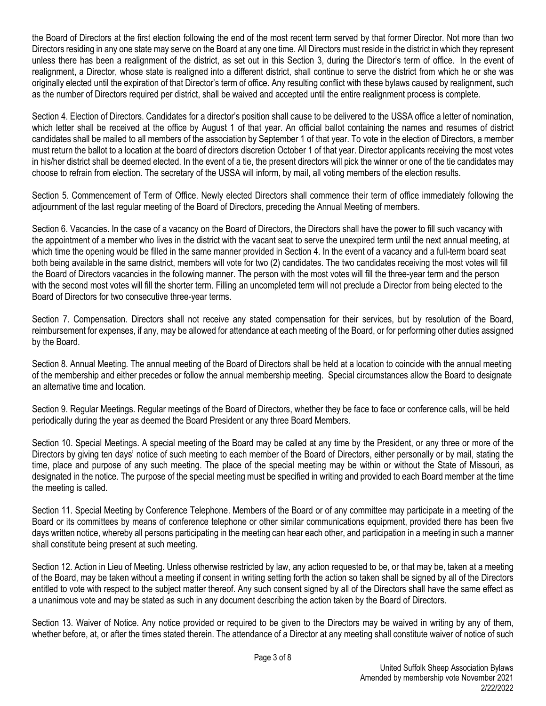the Board of Directors at the first election following the end of the most recent term served by that former Director. Not more than two Directors residing in any one state may serve on the Board at any one time. All Directors must reside in the district in which they represent unless there has been a realignment of the district, as set out in this Section 3, during the Director's term of office. In the event of realignment, a Director, whose state is realigned into a different district, shall continue to serve the district from which he or she was originally elected until the expiration of that Director's term of office. Any resulting conflict with these bylaws caused by realignment, such as the number of Directors required per district, shall be waived and accepted until the entire realignment process is complete.

Section 4. Election of Directors. Candidates for a director's position shall cause to be delivered to the USSA office a letter of nomination, which letter shall be received at the office by August 1 of that year. An official ballot containing the names and resumes of district candidates shall be mailed to all members of the association by September 1 of that year. To vote in the election of Directors, a member must return the ballot to a location at the board of directors discretion October 1 of that year. Director applicants receiving the most votes in his/her district shall be deemed elected. In the event of a tie, the present directors will pick the winner or one of the tie candidates may choose to refrain from election. The secretary of the USSA will inform, by mail, all voting members of the election results.

Section 5. Commencement of Term of Office. Newly elected Directors shall commence their term of office immediately following the adjournment of the last regular meeting of the Board of Directors, preceding the Annual Meeting of members.

Section 6. Vacancies. In the case of a vacancy on the Board of Directors, the Directors shall have the power to fill such vacancy with the appointment of a member who lives in the district with the vacant seat to serve the unexpired term until the next annual meeting, at which time the opening would be filled in the same manner provided in Section 4. In the event of a vacancy and a full-term board seat both being available in the same district, members will vote for two (2) candidates. The two candidates receiving the most votes will fill the Board of Directors vacancies in the following manner. The person with the most votes will fill the three-year term and the person with the second most votes will fill the shorter term. Filling an uncompleted term will not preclude a Director from being elected to the Board of Directors for two consecutive three-year terms.

Section 7. Compensation. Directors shall not receive any stated compensation for their services, but by resolution of the Board, reimbursement for expenses, if any, may be allowed for attendance at each meeting of the Board, or for performing other duties assigned by the Board.

Section 8. Annual Meeting*.* The annual meeting of the Board of Directors shall be held at a location to coincide with the annual meeting of the membership and either precedes or follow the annual membership meeting. Special circumstances allow the Board to designate an alternative time and location.

Section 9. Regular Meetings. Regular meetings of the Board of Directors, whether they be face to face or conference calls, will be held periodically during the year as deemed the Board President or any three Board Members.

Section 10. Special Meetings. A special meeting of the Board may be called at any time by the President, or any three or more of the Directors by giving ten days' notice of such meeting to each member of the Board of Directors, either personally or by mail, stating the time, place and purpose of any such meeting. The place of the special meeting may be within or without the State of Missouri, as designated in the notice. The purpose of the special meeting must be specified in writing and provided to each Board member at the time the meeting is called.

Section 11. Special Meeting by Conference Telephone. Members of the Board or of any committee may participate in a meeting of the Board or its committees by means of conference telephone or other similar communications equipment, provided there has been five days written notice, whereby all persons participating in the meeting can hear each other, and participation in a meeting in such a manner shall constitute being present at such meeting.

Section 12. Action in Lieu of Meeting. Unless otherwise restricted by law, any action requested to be, or that may be, taken at a meeting of the Board, may be taken without a meeting if consent in writing setting forth the action so taken shall be signed by all of the Directors entitled to vote with respect to the subject matter thereof. Any such consent signed by all of the Directors shall have the same effect as a unanimous vote and may be stated as such in any document describing the action taken by the Board of Directors.

Section 13. Waiver of Notice. Any notice provided or required to be given to the Directors may be waived in writing by any of them, whether before, at, or after the times stated therein. The attendance of a Director at any meeting shall constitute waiver of notice of such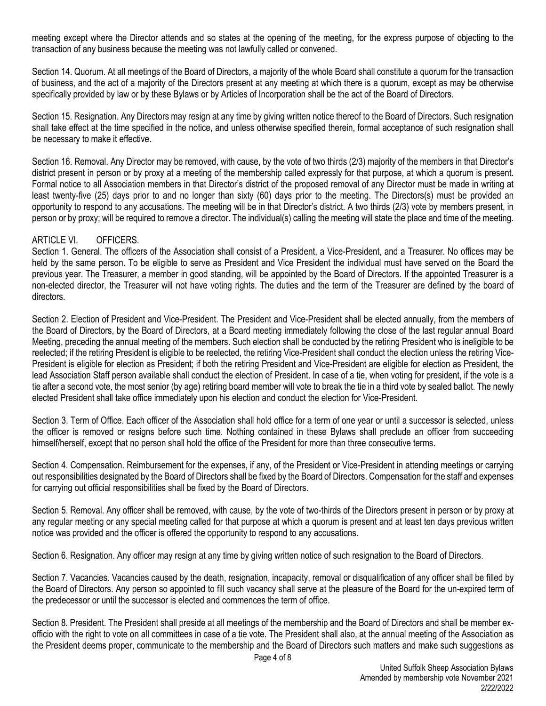meeting except where the Director attends and so states at the opening of the meeting, for the express purpose of objecting to the transaction of any business because the meeting was not lawfully called or convened.

Section 14. Quorum. At all meetings of the Board of Directors, a majority of the whole Board shall constitute a quorum for the transaction of business, and the act of a majority of the Directors present at any meeting at which there is a quorum, except as may be otherwise specifically provided by law or by these Bylaws or by Articles of Incorporation shall be the act of the Board of Directors.

Section 15. Resignation. Any Directors may resign at any time by giving written notice thereof to the Board of Directors. Such resignation shall take effect at the time specified in the notice, and unless otherwise specified therein, formal acceptance of such resignation shall be necessary to make it effective.

Section 16. Removal. Any Director may be removed, with cause, by the vote of two thirds (2/3) majority of the members in that Director's district present in person or by proxy at a meeting of the membership called expressly for that purpose, at which a quorum is present. Formal notice to all Association members in that Director's district of the proposed removal of any Director must be made in writing at least twenty-five (25) days prior to and no longer than sixty (60) days prior to the meeting. The Directors(s) must be provided an opportunity to respond to any accusations. The meeting will be in that Director's district. A two thirds (2/3) vote by members present, in person or by proxy; will be required to remove a director. The individual(s) calling the meeting will state the place and time of the meeting.

### ARTICLE VI. OFFICERS.

Section 1. General. The officers of the Association shall consist of a President, a Vice-President, and a Treasurer. No offices may be held by the same person. To be eligible to serve as President and Vice President the individual must have served on the Board the previous year. The Treasurer, a member in good standing, will be appointed by the Board of Directors. If the appointed Treasurer is a non-elected director, the Treasurer will not have voting rights. The duties and the term of the Treasurer are defined by the board of directors.

Section 2. Election of President and Vice-President. The President and Vice-President shall be elected annually, from the members of the Board of Directors, by the Board of Directors, at a Board meeting immediately following the close of the last regular annual Board Meeting, preceding the annual meeting of the members. Such election shall be conducted by the retiring President who is ineligible to be reelected; if the retiring President is eligible to be reelected, the retiring Vice-President shall conduct the election unless the retiring Vice-President is eligible for election as President; if both the retiring President and Vice-President are eligible for election as President, the lead Association Staff person available shall conduct the election of President. In case of a tie, when voting for president, if the vote is a tie after a second vote, the most senior (by age) retiring board member will vote to break the tie in a third vote by sealed ballot. The newly elected President shall take office immediately upon his election and conduct the election for Vice-President.

Section 3. Term of Office. Each officer of the Association shall hold office for a term of one year or until a successor is selected, unless the officer is removed or resigns before such time. Nothing contained in these Bylaws shall preclude an officer from succeeding himself/herself, except that no person shall hold the office of the President for more than three consecutive terms.

Section 4. Compensation. Reimbursement for the expenses, if any, of the President or Vice-President in attending meetings or carrying out responsibilities designated by the Board of Directors shall be fixed by the Board of Directors. Compensation for the staff and expenses for carrying out official responsibilities shall be fixed by the Board of Directors.

Section 5. Removal. Any officer shall be removed, with cause, by the vote of two-thirds of the Directors present in person or by proxy at any regular meeting or any special meeting called for that purpose at which a quorum is present and at least ten days previous written notice was provided and the officer is offered the opportunity to respond to any accusations.

Section 6. Resignation. Any officer may resign at any time by giving written notice of such resignation to the Board of Directors.

Section 7. Vacancies. Vacancies caused by the death, resignation, incapacity, removal or disqualification of any officer shall be filled by the Board of Directors. Any person so appointed to fill such vacancy shall serve at the pleasure of the Board for the un-expired term of the predecessor or until the successor is elected and commences the term of office.

Section 8. President. The President shall preside at all meetings of the membership and the Board of Directors and shall be member exofficio with the right to vote on all committees in case of a tie vote. The President shall also, at the annual meeting of the Association as the President deems proper, communicate to the membership and the Board of Directors such matters and make such suggestions as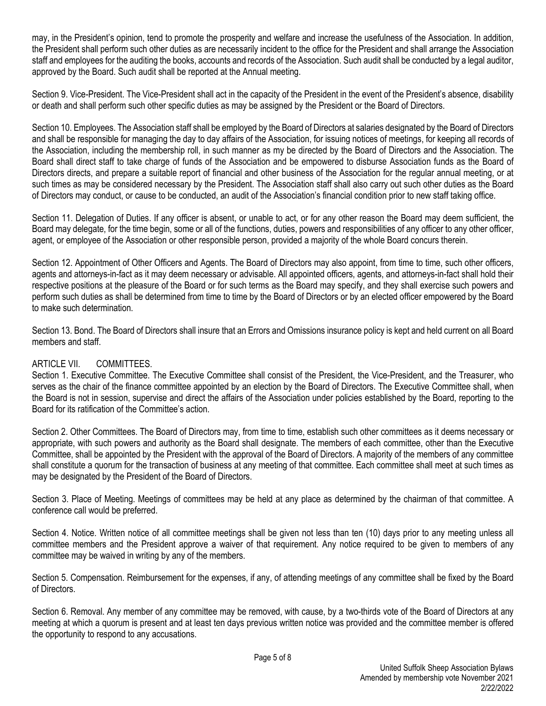may, in the President's opinion, tend to promote the prosperity and welfare and increase the usefulness of the Association. In addition, the President shall perform such other duties as are necessarily incident to the office for the President and shall arrange the Association staff and employees for the auditing the books, accounts and records of the Association. Such audit shall be conducted by a legal auditor, approved by the Board. Such audit shall be reported at the Annual meeting.

Section 9. Vice-President. The Vice-President shall act in the capacity of the President in the event of the President's absence, disability or death and shall perform such other specific duties as may be assigned by the President or the Board of Directors.

Section 10. Employees. The Association staff shall be employed by the Board of Directors at salaries designated by the Board of Directors and shall be responsible for managing the day to day affairs of the Association, for issuing notices of meetings, for keeping all records of the Association, including the membership roll, in such manner as my be directed by the Board of Directors and the Association. The Board shall direct staff to take charge of funds of the Association and be empowered to disburse Association funds as the Board of Directors directs, and prepare a suitable report of financial and other business of the Association for the regular annual meeting, or at such times as may be considered necessary by the President. The Association staff shall also carry out such other duties as the Board of Directors may conduct, or cause to be conducted, an audit of the Association's financial condition prior to new staff taking office.

Section 11. Delegation of Duties. If any officer is absent, or unable to act, or for any other reason the Board may deem sufficient, the Board may delegate, for the time begin, some or all of the functions, duties, powers and responsibilities of any officer to any other officer, agent, or employee of the Association or other responsible person, provided a majority of the whole Board concurs therein.

Section 12. Appointment of Other Officers and Agents. The Board of Directors may also appoint, from time to time, such other officers, agents and attorneys-in-fact as it may deem necessary or advisable. All appointed officers, agents, and attorneys-in-fact shall hold their respective positions at the pleasure of the Board or for such terms as the Board may specify, and they shall exercise such powers and perform such duties as shall be determined from time to time by the Board of Directors or by an elected officer empowered by the Board to make such determination.

Section 13. Bond. The Board of Directors shall insure that an Errors and Omissions insurance policy is kept and held current on all Board members and staff.

## ARTICLE VII. COMMITTEES.

Section 1. Executive Committee. The Executive Committee shall consist of the President, the Vice-President, and the Treasurer, who serves as the chair of the finance committee appointed by an election by the Board of Directors. The Executive Committee shall, when the Board is not in session, supervise and direct the affairs of the Association under policies established by the Board, reporting to the Board for its ratification of the Committee's action.

Section 2. Other Committees. The Board of Directors may, from time to time, establish such other committees as it deems necessary or appropriate, with such powers and authority as the Board shall designate. The members of each committee, other than the Executive Committee, shall be appointed by the President with the approval of the Board of Directors. A majority of the members of any committee shall constitute a quorum for the transaction of business at any meeting of that committee. Each committee shall meet at such times as may be designated by the President of the Board of Directors.

Section 3. Place of Meeting. Meetings of committees may be held at any place as determined by the chairman of that committee. A conference call would be preferred.

Section 4. Notice. Written notice of all committee meetings shall be given not less than ten (10) days prior to any meeting unless all committee members and the President approve a waiver of that requirement. Any notice required to be given to members of any committee may be waived in writing by any of the members.

Section 5. Compensation. Reimbursement for the expenses, if any, of attending meetings of any committee shall be fixed by the Board of Directors.

Section 6. Removal. Any member of any committee may be removed, with cause, by a two-thirds vote of the Board of Directors at any meeting at which a quorum is present and at least ten days previous written notice was provided and the committee member is offered the opportunity to respond to any accusations.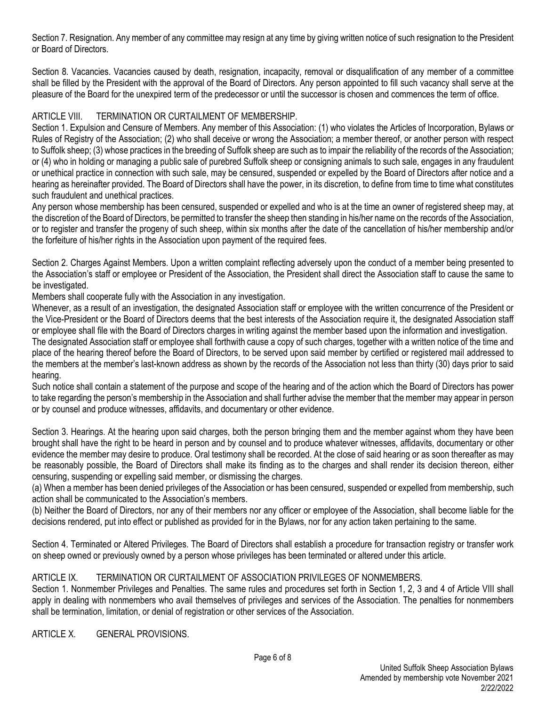Section 7. Resignation. Any member of any committee may resign at any time by giving written notice of such resignation to the President or Board of Directors.

Section 8. Vacancies. Vacancies caused by death, resignation, incapacity, removal or disqualification of any member of a committee shall be filled by the President with the approval of the Board of Directors. Any person appointed to fill such vacancy shall serve at the pleasure of the Board for the unexpired term of the predecessor or until the successor is chosen and commences the term of office.

### ARTICLE VIII. TERMINATION OR CURTAILMENT OF MEMBERSHIP

Section 1. Expulsion and Censure of Members. Any member of this Association: (1) who violates the Articles of Incorporation, Bylaws or Rules of Registry of the Association; (2) who shall deceive or wrong the Association; a member thereof, or another person with respect to Suffolk sheep; (3) whose practices in the breeding of Suffolk sheep are such as to impair the reliability of the records of the Association; or (4) who in holding or managing a public sale of purebred Suffolk sheep or consigning animals to such sale, engages in any fraudulent or unethical practice in connection with such sale, may be censured, suspended or expelled by the Board of Directors after notice and a hearing as hereinafter provided. The Board of Directors shall have the power, in its discretion, to define from time to time what constitutes such fraudulent and unethical practices.

Any person whose membership has been censured, suspended or expelled and who is at the time an owner of registered sheep may, at the discretion of the Board of Directors, be permitted to transfer the sheep then standing in his/her name on the records of the Association, or to register and transfer the progeny of such sheep, within six months after the date of the cancellation of his/her membership and/or the forfeiture of his/her rights in the Association upon payment of the required fees.

Section 2. Charges Against Members. Upon a written complaint reflecting adversely upon the conduct of a member being presented to the Association's staff or employee or President of the Association, the President shall direct the Association staff to cause the same to be investigated.

Members shall cooperate fully with the Association in any investigation.

Whenever, as a result of an investigation, the designated Association staff or employee with the written concurrence of the President or the Vice-President or the Board of Directors deems that the best interests of the Association require it, the designated Association staff or employee shall file with the Board of Directors charges in writing against the member based upon the information and investigation.

The designated Association staff or employee shall forthwith cause a copy of such charges, together with a written notice of the time and place of the hearing thereof before the Board of Directors, to be served upon said member by certified or registered mail addressed to the members at the member's last-known address as shown by the records of the Association not less than thirty (30) days prior to said hearing.

Such notice shall contain a statement of the purpose and scope of the hearing and of the action which the Board of Directors has power to take regarding the person's membership in the Association and shall further advise the member that the member may appear in person or by counsel and produce witnesses, affidavits, and documentary or other evidence.

Section 3. Hearings. At the hearing upon said charges, both the person bringing them and the member against whom they have been brought shall have the right to be heard in person and by counsel and to produce whatever witnesses, affidavits, documentary or other evidence the member may desire to produce. Oral testimony shall be recorded. At the close of said hearing or as soon thereafter as may be reasonably possible, the Board of Directors shall make its finding as to the charges and shall render its decision thereon, either censuring, suspending or expelling said member, or dismissing the charges.

(a) When a member has been denied privileges of the Association or has been censured, suspended or expelled from membership, such action shall be communicated to the Association's members.

(b) Neither the Board of Directors, nor any of their members nor any officer or employee of the Association, shall become liable for the decisions rendered, put into effect or published as provided for in the Bylaws, nor for any action taken pertaining to the same.

Section 4. Terminated or Altered Privileges. The Board of Directors shall establish a procedure for transaction registry or transfer work on sheep owned or previously owned by a person whose privileges has been terminated or altered under this article.

## ARTICLE IX. TERMINATION OR CURTAILMENT OF ASSOCIATION PRIVILEGES OF NONMEMBERS.

Section 1. Nonmember Privileges and Penalties. The same rules and procedures set forth in Section 1, 2, 3 and 4 of Article VIII shall apply in dealing with nonmembers who avail themselves of privileges and services of the Association. The penalties for nonmembers shall be termination, limitation, or denial of registration or other services of the Association.

ARTICLE X. GENERAL PROVISIONS.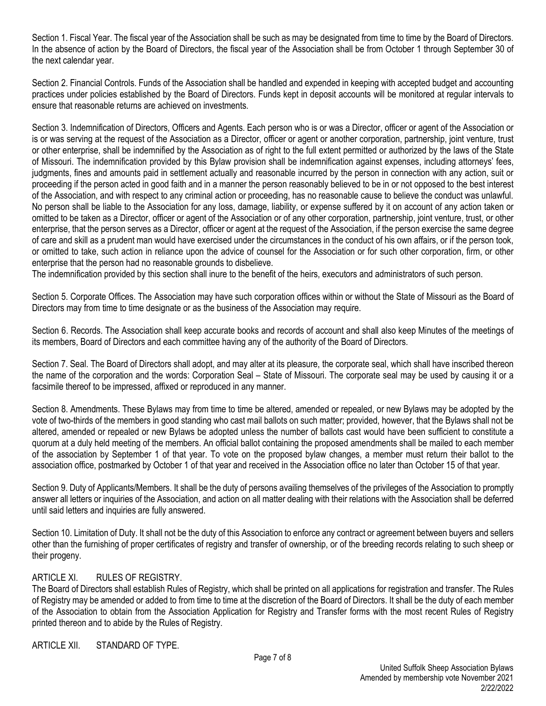Section 1. Fiscal Year. The fiscal year of the Association shall be such as may be designated from time to time by the Board of Directors. In the absence of action by the Board of Directors, the fiscal year of the Association shall be from October 1 through September 30 of the next calendar year.

Section 2. Financial Controls. Funds of the Association shall be handled and expended in keeping with accepted budget and accounting practices under policies established by the Board of Directors. Funds kept in deposit accounts will be monitored at regular intervals to ensure that reasonable returns are achieved on investments.

Section 3. Indemnification of Directors, Officers and Agents. Each person who is or was a Director, officer or agent of the Association or is or was serving at the request of the Association as a Director, officer or agent or another corporation, partnership, joint venture, trust or other enterprise, shall be indemnified by the Association as of right to the full extent permitted or authorized by the laws of the State of Missouri. The indemnification provided by this Bylaw provision shall be indemnification against expenses, including attorneys' fees, judgments, fines and amounts paid in settlement actually and reasonable incurred by the person in connection with any action, suit or proceeding if the person acted in good faith and in a manner the person reasonably believed to be in or not opposed to the best interest of the Association, and with respect to any criminal action or proceeding, has no reasonable cause to believe the conduct was unlawful. No person shall be liable to the Association for any loss, damage, liability, or expense suffered by it on account of any action taken or omitted to be taken as a Director, officer or agent of the Association or of any other corporation, partnership, joint venture, trust, or other enterprise, that the person serves as a Director, officer or agent at the request of the Association, if the person exercise the same degree of care and skill as a prudent man would have exercised under the circumstances in the conduct of his own affairs, or if the person took, or omitted to take, such action in reliance upon the advice of counsel for the Association or for such other corporation, firm, or other enterprise that the person had no reasonable grounds to disbelieve.

The indemnification provided by this section shall inure to the benefit of the heirs, executors and administrators of such person.

Section 5. Corporate Offices. The Association may have such corporation offices within or without the State of Missouri as the Board of Directors may from time to time designate or as the business of the Association may require.

Section 6. Records. The Association shall keep accurate books and records of account and shall also keep Minutes of the meetings of its members, Board of Directors and each committee having any of the authority of the Board of Directors.

Section 7. Seal. The Board of Directors shall adopt, and may alter at its pleasure, the corporate seal, which shall have inscribed thereon the name of the corporation and the words: Corporation Seal – State of Missouri. The corporate seal may be used by causing it or a facsimile thereof to be impressed, affixed or reproduced in any manner.

Section 8. Amendments. These Bylaws may from time to time be altered, amended or repealed, or new Bylaws may be adopted by the vote of two-thirds of the members in good standing who cast mail ballots on such matter; provided, however, that the Bylaws shall not be altered, amended or repealed or new Bylaws be adopted unless the number of ballots cast would have been sufficient to constitute a quorum at a duly held meeting of the members. An official ballot containing the proposed amendments shall be mailed to each member of the association by September 1 of that year. To vote on the proposed bylaw changes, a member must return their ballot to the association office, postmarked by October 1 of that year and received in the Association office no later than October 15 of that year.

Section 9. Duty of Applicants/Members. It shall be the duty of persons availing themselves of the privileges of the Association to promptly answer all letters or inquiries of the Association, and action on all matter dealing with their relations with the Association shall be deferred until said letters and inquiries are fully answered.

Section 10. Limitation of Duty. It shall not be the duty of this Association to enforce any contract or agreement between buyers and sellers other than the furnishing of proper certificates of registry and transfer of ownership, or of the breeding records relating to such sheep or their progeny.

## ARTICLE XI. RULES OF REGISTRY.

The Board of Directors shall establish Rules of Registry, which shall be printed on all applications for registration and transfer. The Rules of Registry may be amended or added to from time to time at the discretion of the Board of Directors. It shall be the duty of each member of the Association to obtain from the Association Application for Registry and Transfer forms with the most recent Rules of Registry printed thereon and to abide by the Rules of Registry.